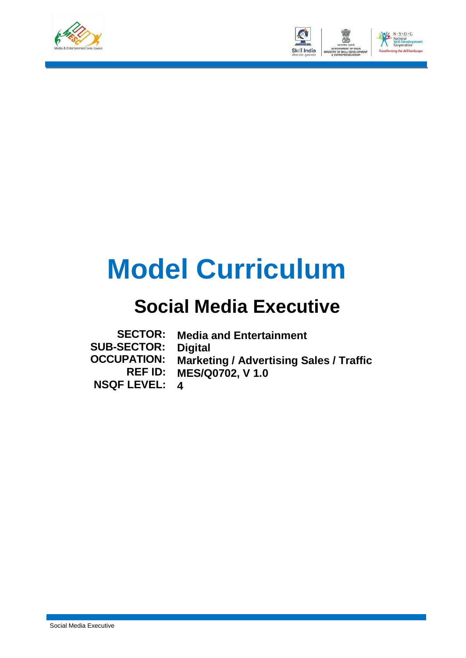



# **Model Curriculum**

### **Social Media Executive**

| <b>SECTOR:</b>     | <b>Media and Entertainment</b>                 |
|--------------------|------------------------------------------------|
| <b>SUB-SECTOR:</b> | <b>Digital</b>                                 |
| <b>OCCUPATION:</b> | <b>Marketing / Advertising Sales / Traffic</b> |
|                    | <b>REF ID: MES/Q0702, V 1.0</b>                |
| NSQF LEVEL: 4      |                                                |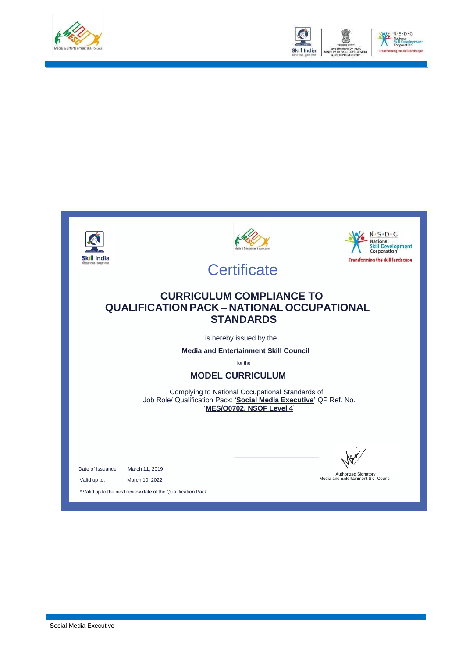



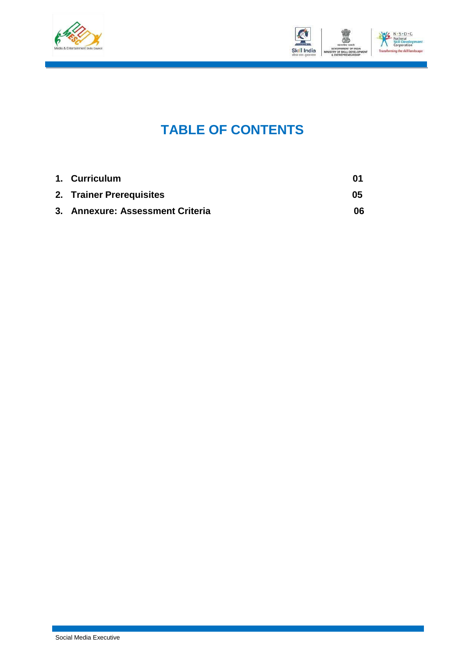



### **TABLE OF CONTENTS**

| 1. Curriculum                    | M1 |
|----------------------------------|----|
| 2. Trainer Prerequisites         | 05 |
| 3. Annexure: Assessment Criteria | 06 |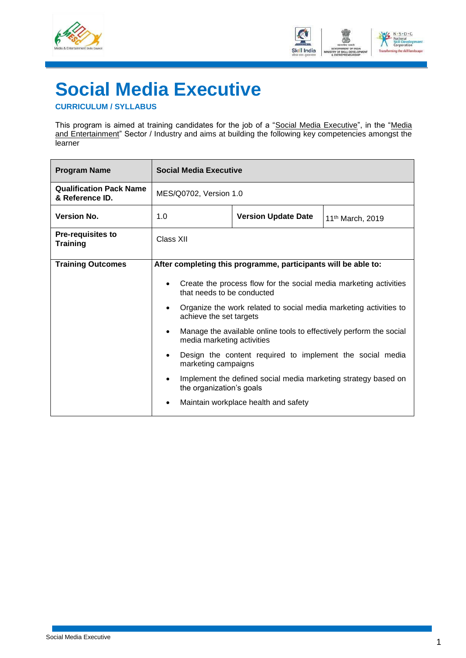



## <span id="page-3-0"></span>**Social Media Executive**

#### **CURRICULUM / SYLLABUS**

This program is aimed at training candidates for the job of a "<u>Social Media Executive</u>", in the "<u>Media</u> and Entertainment" Sector / Industry and aims at building the following key competencies amongst the **learner** 

| <b>Program Name</b>                               | <b>Social Media Executive</b>                                                 |                                                                                                                                                                                                                                                                                                                                                                   |                              |  |  |
|---------------------------------------------------|-------------------------------------------------------------------------------|-------------------------------------------------------------------------------------------------------------------------------------------------------------------------------------------------------------------------------------------------------------------------------------------------------------------------------------------------------------------|------------------------------|--|--|
| <b>Qualification Pack Name</b><br>& Reference ID. | MES/Q0702, Version 1.0                                                        |                                                                                                                                                                                                                                                                                                                                                                   |                              |  |  |
| <b>Version No.</b>                                | 1.0                                                                           | <b>Version Update Date</b>                                                                                                                                                                                                                                                                                                                                        | 11 <sup>th</sup> March, 2019 |  |  |
| <b>Pre-requisites to</b><br><b>Training</b>       | Class XII                                                                     |                                                                                                                                                                                                                                                                                                                                                                   |                              |  |  |
| <b>Training Outcomes</b>                          | After completing this programme, participants will be able to:<br>٠<br>٠<br>٠ | Create the process flow for the social media marketing activities<br>that needs to be conducted<br>Organize the work related to social media marketing activities to<br>achieve the set targets<br>Manage the available online tools to effectively perform the social<br>media marketing activities<br>Design the content required to implement the social media |                              |  |  |
|                                                   | ٠<br>٠                                                                        | marketing campaigns<br>Implement the defined social media marketing strategy based on<br>the organization's goals<br>Maintain workplace health and safety                                                                                                                                                                                                         |                              |  |  |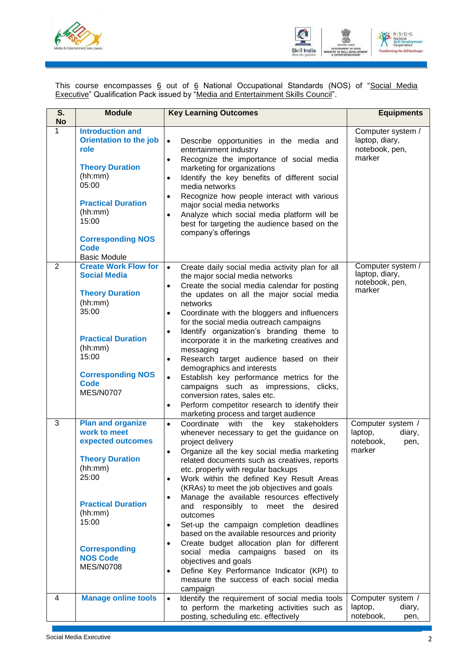



This course encompasses <u>6</u> out of <u>6</u> National Occupational Standards (NOS) of "<u>Social Media</u> **Executive**" Qualification Pack issued by "Media and Entertainment Skills Council".

| S.<br><b>No</b> | <b>Module</b>                                                                                                                                                                                                                     | <b>Key Learning Outcomes</b>                                                                                                                                                                                                                                                                                                                                                                                                                                                                                                                                                                                                                                                                                                                                                                                                                                     | <b>Equipments</b>                                                     |
|-----------------|-----------------------------------------------------------------------------------------------------------------------------------------------------------------------------------------------------------------------------------|------------------------------------------------------------------------------------------------------------------------------------------------------------------------------------------------------------------------------------------------------------------------------------------------------------------------------------------------------------------------------------------------------------------------------------------------------------------------------------------------------------------------------------------------------------------------------------------------------------------------------------------------------------------------------------------------------------------------------------------------------------------------------------------------------------------------------------------------------------------|-----------------------------------------------------------------------|
| 1               | <b>Introduction and</b><br><b>Orientation to the job</b><br>role<br><b>Theory Duration</b><br>(hh:mm)<br>05:00<br><b>Practical Duration</b><br>(hh:mm)<br>15:00<br><b>Corresponding NOS</b><br><b>Code</b><br><b>Basic Module</b> | Describe opportunities in the media and<br>$\bullet$<br>entertainment industry<br>Recognize the importance of social media<br>$\bullet$<br>marketing for organizations<br>Identify the key benefits of different social<br>$\bullet$<br>media networks<br>Recognize how people interact with various<br>$\bullet$<br>major social media networks<br>Analyze which social media platform will be<br>$\bullet$<br>best for targeting the audience based on the<br>company's offerings                                                                                                                                                                                                                                                                                                                                                                              | Computer system /<br>laptop, diary,<br>notebook, pen,<br>marker       |
| 2               | <b>Create Work Flow for</b><br><b>Social Media</b><br><b>Theory Duration</b><br>(hh:mm)<br>35:00<br><b>Practical Duration</b><br>(hh:mm)<br>15:00<br><b>Corresponding NOS</b><br>Code<br><b>MES/N0707</b>                         | Create daily social media activity plan for all<br>$\bullet$<br>the major social media networks<br>Create the social media calendar for posting<br>$\bullet$<br>the updates on all the major social media<br>networks<br>Coordinate with the bloggers and influencers<br>$\bullet$<br>for the social media outreach campaigns<br>Identify organization's branding theme to<br>$\bullet$<br>incorporate it in the marketing creatives and<br>messaging<br>Research target audience based on their<br>$\bullet$<br>demographics and interests<br>Establish key performance metrics for the<br>$\bullet$<br>campaigns such as impressions, clicks,<br>conversion rates, sales etc.<br>Perform competitor research to identify their<br>$\bullet$<br>marketing process and target audience                                                                           | Computer system /<br>laptop, diary,<br>notebook, pen,<br>marker       |
| 3               | <b>Plan and organize</b><br>work to meet<br>expected outcomes<br><b>Theory Duration</b><br>(hh:mm)<br>25:00<br><b>Practical Duration</b><br>(hh:mm)<br>15:00<br><b>Corresponding</b><br><b>NOS Code</b><br><b>MES/N0708</b>       | Coordinate<br>with<br>the<br>key stakeholders<br>$\bullet$<br>whenever necessary to get the guidance on<br>project delivery<br>Organize all the key social media marketing<br>$\bullet$<br>related documents such as creatives, reports<br>etc. properly with regular backups<br>Work within the defined Key Result Areas<br>$\bullet$<br>(KRAs) to meet the job objectives and goals<br>Manage the available resources effectively<br>$\bullet$<br>and responsibly to meet the desired<br>outcomes<br>Set-up the campaign completion deadlines<br>$\bullet$<br>based on the available resources and priority<br>Create budget allocation plan for different<br>$\bullet$<br>media campaigns<br>social<br>based on its<br>objectives and goals<br>Define Key Performance Indicator (KPI) to<br>$\bullet$<br>measure the success of each social media<br>campaign | Computer system /<br>laptop,<br>diary,<br>notebook,<br>pen,<br>marker |
| 4               | <b>Manage online tools</b>                                                                                                                                                                                                        | Identify the requirement of social media tools<br>$\bullet$<br>to perform the marketing activities such as<br>posting, scheduling etc. effectively                                                                                                                                                                                                                                                                                                                                                                                                                                                                                                                                                                                                                                                                                                               | Computer system /<br>laptop,<br>diary,<br>notebook,<br>pen,           |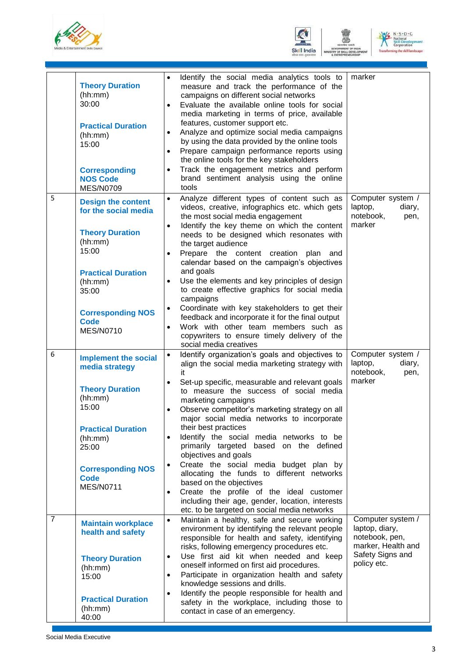





|                | <b>Theory Duration</b><br>(hh:mm)<br>30:00<br><b>Practical Duration</b><br>(hh:mm)<br>15:00<br><b>Corresponding</b><br><b>NOS Code</b><br><b>MES/N0709</b>                                                      | Identify the social media analytics tools to<br>measure and track the performance of the<br>campaigns on different social networks<br>Evaluate the available online tools for social<br>media marketing in terms of price, available<br>features, customer support etc.<br>Analyze and optimize social media campaigns<br>by using the data provided by the online tools<br>Prepare campaign performance reports using<br>the online tools for the key stakeholders<br>Track the engagement metrics and perform<br>brand sentiment analysis using the online<br>tools                                                                                                                                                                                          | marker                                                                                                         |
|----------------|-----------------------------------------------------------------------------------------------------------------------------------------------------------------------------------------------------------------|----------------------------------------------------------------------------------------------------------------------------------------------------------------------------------------------------------------------------------------------------------------------------------------------------------------------------------------------------------------------------------------------------------------------------------------------------------------------------------------------------------------------------------------------------------------------------------------------------------------------------------------------------------------------------------------------------------------------------------------------------------------|----------------------------------------------------------------------------------------------------------------|
| 5              | <b>Design the content</b><br>for the social media<br><b>Theory Duration</b><br>(hh:mm)<br>15:00<br><b>Practical Duration</b><br>(hh:mm)<br>35:00<br><b>Corresponding NOS</b><br><b>Code</b><br><b>MES/N0710</b> | Analyze different types of content such as<br>$\bullet$<br>videos, creative, infographics etc. which gets<br>the most social media engagement<br>Identify the key theme on which the content<br>needs to be designed which resonates with<br>the target audience<br>Prepare the content creation plan and<br>calendar based on the campaign's objectives<br>and goals<br>Use the elements and key principles of design<br>$\bullet$<br>to create effective graphics for social media<br>campaigns<br>Coordinate with key stakeholders to get their<br>$\bullet$<br>feedback and incorporate it for the final output<br>Work with other team members such as<br>copywriters to ensure timely delivery of the<br>social media creatives                          | Computer system /<br>laptop,<br>diary,<br>notebook,<br>pen,<br>marker                                          |
| 6              | <b>Implement the social</b><br>media strategy<br><b>Theory Duration</b><br>(hh:mm)<br>15:00<br><b>Practical Duration</b><br>(hh:mm)<br>25:00<br><b>Corresponding NOS</b><br><b>Code</b><br><b>MES/N0711</b>     | Identify organization's goals and objectives to<br>$\bullet$<br>align the social media marketing strategy with<br>it<br>Set-up specific, measurable and relevant goals<br>$\bullet$<br>to measure the success of social media<br>marketing campaigns<br>Observe competitor's marketing strategy on all<br>major social media networks to incorporate<br>their best practices<br>Identify the social media networks to be<br>primarily targeted based on the defined<br>objectives and goals<br>Create the social media budget plan by<br>allocating the funds to different networks<br>based on the objectives<br>Create the profile of the ideal customer<br>including their age, gender, location, interests<br>etc. to be targeted on social media networks | Computer system /<br>laptop,<br>diary,<br>notebook,<br>pen,<br>marker                                          |
| $\overline{7}$ | <b>Maintain workplace</b><br>health and safety<br><b>Theory Duration</b><br>(hh:mm)<br>15:00<br><b>Practical Duration</b><br>(hh:mm)<br>40:00                                                                   | Maintain a healthy, safe and secure working<br>$\bullet$<br>environment by identifying the relevant people<br>responsible for health and safety, identifying<br>risks, following emergency procedures etc.<br>Use first aid kit when needed and keep<br>$\bullet$<br>oneself informed on first aid procedures.<br>Participate in organization health and safety<br>$\bullet$<br>knowledge sessions and drills.<br>Identify the people responsible for health and<br>$\bullet$<br>safety in the workplace, including those to<br>contact in case of an emergency.                                                                                                                                                                                               | Computer system /<br>laptop, diary,<br>notebook, pen,<br>marker, Health and<br>Safety Signs and<br>policy etc. |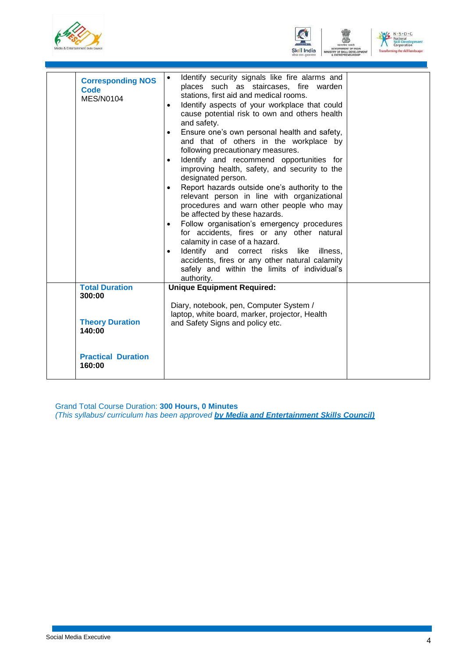





| <b>Corresponding NOS</b><br>Code<br><b>MES/N0104</b> | Identify security signals like fire alarms and<br>places such as staircases, fire warden<br>stations, first aid and medical rooms.<br>Identify aspects of your workplace that could<br>$\bullet$<br>cause potential risk to own and others health<br>and safety.<br>Ensure one's own personal health and safety,<br>$\bullet$<br>and that of others in the workplace by<br>following precautionary measures.<br>Identify and recommend opportunities for<br>improving health, safety, and security to the<br>designated person.<br>Report hazards outside one's authority to the<br>$\bullet$<br>relevant person in line with organizational<br>procedures and warn other people who may<br>be affected by these hazards.<br>Follow organisation's emergency procedures<br>$\bullet$<br>for accidents, fires or any other natural<br>calamity in case of a hazard.<br>Identify and correct risks like illness,<br>accidents, fires or any other natural calamity<br>safely and within the limits of individual's<br>authority. |  |
|------------------------------------------------------|--------------------------------------------------------------------------------------------------------------------------------------------------------------------------------------------------------------------------------------------------------------------------------------------------------------------------------------------------------------------------------------------------------------------------------------------------------------------------------------------------------------------------------------------------------------------------------------------------------------------------------------------------------------------------------------------------------------------------------------------------------------------------------------------------------------------------------------------------------------------------------------------------------------------------------------------------------------------------------------------------------------------------------|--|
| <b>Total Duration</b><br>300:00                      | <b>Unique Equipment Required:</b><br>Diary, notebook, pen, Computer System /                                                                                                                                                                                                                                                                                                                                                                                                                                                                                                                                                                                                                                                                                                                                                                                                                                                                                                                                                   |  |
| <b>Theory Duration</b><br>140:00                     | laptop, white board, marker, projector, Health<br>and Safety Signs and policy etc.                                                                                                                                                                                                                                                                                                                                                                                                                                                                                                                                                                                                                                                                                                                                                                                                                                                                                                                                             |  |
| <b>Practical Duration</b><br>160:00                  |                                                                                                                                                                                                                                                                                                                                                                                                                                                                                                                                                                                                                                                                                                                                                                                                                                                                                                                                                                                                                                |  |

Grand Total Course Duration: **300 Hours, 0 Minutes** *(This syllabus/ curriculum has been approved by Media and Entertainment Skills Council)*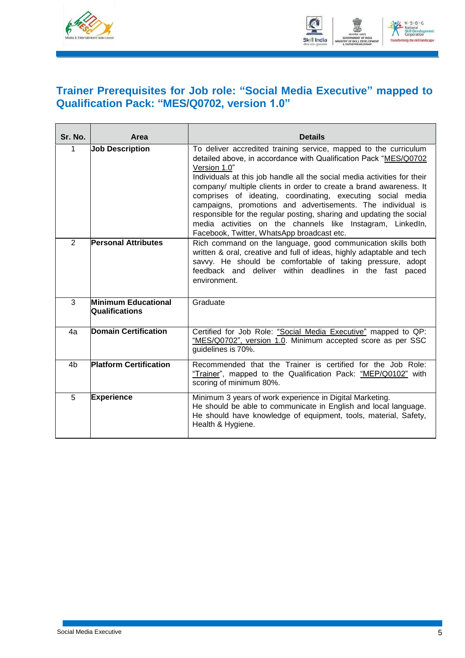



#### <span id="page-7-0"></span>**Trainer Prerequisites for Job role: "Social Media Executive" mapped to Qualification Pack: "MES/Q0702, version 1.0"**

| Sr. No.        | Area                                  | <b>Details</b>                                                                                                                                                                                                                                                                                                                                                                                                                                                                                                                                                                                                           |
|----------------|---------------------------------------|--------------------------------------------------------------------------------------------------------------------------------------------------------------------------------------------------------------------------------------------------------------------------------------------------------------------------------------------------------------------------------------------------------------------------------------------------------------------------------------------------------------------------------------------------------------------------------------------------------------------------|
| 1              | <b>Job Description</b>                | To deliver accredited training service, mapped to the curriculum<br>detailed above, in accordance with Qualification Pack "MES/Q0702<br>Version 1.0"<br>Individuals at this job handle all the social media activities for their<br>company/ multiple clients in order to create a brand awareness. It<br>comprises of ideating, coordinating, executing social media<br>campaigns, promotions and advertisements. The individual is<br>responsible for the regular posting, sharing and updating the social<br>media activities on the channels like Instagram, LinkedIn,<br>Facebook, Twitter, WhatsApp broadcast etc. |
| 2              | <b>Personal Attributes</b>            | Rich command on the language, good communication skills both<br>written & oral, creative and full of ideas, highly adaptable and tech<br>savvy. He should be comfortable of taking pressure, adopt<br>feedback and deliver within deadlines in the fast paced<br>environment.                                                                                                                                                                                                                                                                                                                                            |
| 3              | Minimum Educational<br>Qualifications | Graduate                                                                                                                                                                                                                                                                                                                                                                                                                                                                                                                                                                                                                 |
| 4a             | Domain Certification                  | Certified for Job Role: "Social Media Executive" mapped to QP:<br>"MES/Q0702", version 1.0. Minimum accepted score as per SSC<br>guidelines is 70%.                                                                                                                                                                                                                                                                                                                                                                                                                                                                      |
| 4 <sub>b</sub> | <b>Platform Certification</b>         | Recommended that the Trainer is certified for the Job Role:<br>"Trainer", mapped to the Qualification Pack: "MEP/Q0102" with<br>scoring of minimum 80%.                                                                                                                                                                                                                                                                                                                                                                                                                                                                  |
| 5              | <b>Experience</b>                     | Minimum 3 years of work experience in Digital Marketing.<br>He should be able to communicate in English and local language.<br>He should have knowledge of equipment, tools, material, Safety,<br>Health & Hygiene.                                                                                                                                                                                                                                                                                                                                                                                                      |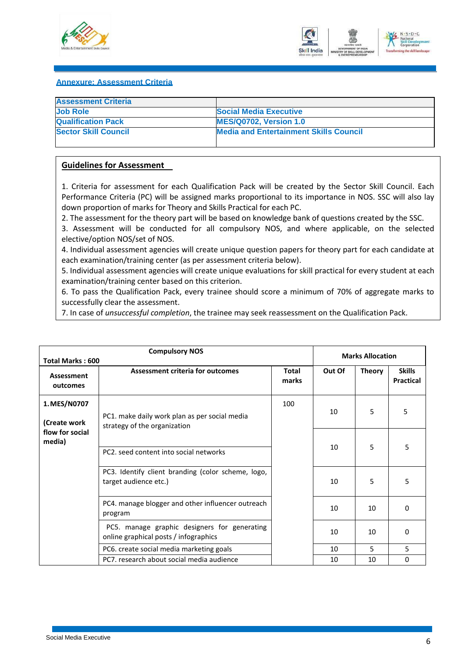



#### <span id="page-8-0"></span>**Annexure: Assessment Criteria**

| <b>Assessment Criteria</b>  |                                               |
|-----------------------------|-----------------------------------------------|
| <b>Job Role</b>             | <b>Social Media Executive</b>                 |
| <b>Qualification Pack</b>   | <b>MES/Q0702, Version 1.0</b>                 |
| <b>Sector Skill Council</b> | <b>Media and Entertainment Skills Council</b> |
|                             |                                               |

#### **Guidelines for Assessment**

1. Criteria for assessment for each Qualification Pack will be created by the Sector Skill Council. Each Performance Criteria (PC) will be assigned marks proportional to its importance in NOS. SSC will also lay down proportion of marks for Theory and Skills Practical for each PC.

2. The assessment for the theory part will be based on knowledge bank of questions created by the SSC.

3. Assessment will be conducted for all compulsory NOS, and where applicable, on the selected elective/option NOS/set of NOS.

4. Individual assessment agencies will create unique question papers for theory part for each candidate at each examination/training center (as per assessment criteria below).

5. Individual assessment agencies will create unique evaluations for skill practical for every student at each examination/training center based on this criterion.

6. To pass the Qualification Pack, every trainee should score a minimum of 70% of aggregate marks to successfully clear the assessment.

7. In case of *unsuccessful completion*, the trainee may seek reassessment on the Qualification Pack.

| <b>Compulsory NOS</b><br><b>Total Marks: 600</b> |                                                                                       |                | <b>Marks Allocation</b> |               |                            |
|--------------------------------------------------|---------------------------------------------------------------------------------------|----------------|-------------------------|---------------|----------------------------|
| Assessment<br>outcomes                           | Assessment criteria for outcomes                                                      | Total<br>marks | Out Of                  | <b>Theory</b> | <b>Skills</b><br>Practical |
| 1. MES/N0707<br>(Create work                     | PC1. make daily work plan as per social media<br>strategy of the organization         | 100            | 10                      | 5             | 5                          |
| flow for social<br>media)                        | PC2, seed content into social networks                                                |                | 10                      | 5             | 5                          |
|                                                  | PC3. Identify client branding (color scheme, logo,<br>target audience etc.)           |                | 10                      | 5             | 5                          |
|                                                  | PC4. manage blogger and other influencer outreach<br>program                          |                | 10                      | 10            | 0                          |
|                                                  | PC5. manage graphic designers for generating<br>online graphical posts / infographics |                | 10                      | 10            | 0                          |
|                                                  | PC6. create social media marketing goals                                              |                | 10                      | 5             | 5                          |
|                                                  | PC7, research about social media audience                                             |                | 10                      | 10            | 0                          |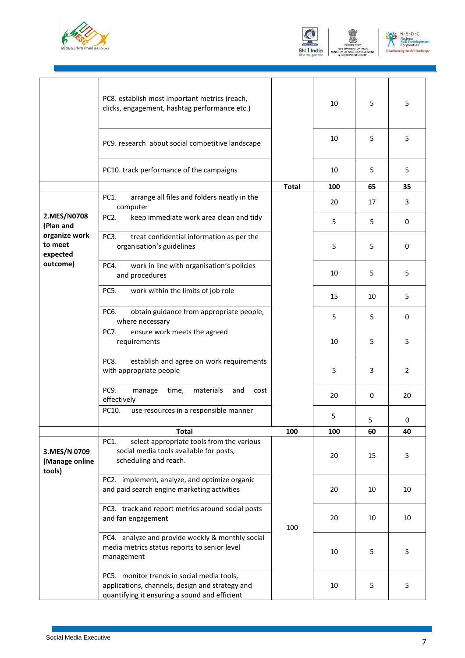





|                                          | PC8. establish most important metrics (reach,<br>clicks, engagement, hashtag performance etc.)                                                 |              | 10  | 5  | 5  |
|------------------------------------------|------------------------------------------------------------------------------------------------------------------------------------------------|--------------|-----|----|----|
|                                          | PC9. research about social competitive landscape                                                                                               |              | 10  | 5  | 5  |
|                                          | PC10. track performance of the campaigns                                                                                                       |              | 10  | 5  | 5  |
|                                          |                                                                                                                                                | <b>Total</b> | 100 | 65 | 35 |
|                                          | <b>PC1.</b><br>arrange all files and folders neatly in the<br>computer                                                                         |              | 20  | 17 | 3  |
| 2.MES/N0708<br>(Plan and                 | PC <sub>2</sub> .<br>keep immediate work area clean and tidy                                                                                   |              | 5   | 5  | 0  |
| organize work<br>to meet<br>expected     | PC3.<br>treat confidential information as per the<br>organisation's guidelines                                                                 |              | 5   | 5  | 0  |
| outcome)                                 | work in line with organisation's policies<br>PC4.<br>and procedures                                                                            |              | 10  | 5  | 5  |
|                                          | PC5.<br>work within the limits of job role                                                                                                     |              | 15  | 10 | 5  |
|                                          | PC6.<br>obtain guidance from appropriate people,<br>where necessary                                                                            |              | 5   | 5  | 0  |
|                                          | <b>PC7.</b><br>ensure work meets the agreed<br>requirements                                                                                    |              | 10  | 5  | 5  |
|                                          | PC8.<br>establish and agree on work requirements<br>with appropriate people                                                                    |              | 5   | 3  | 2  |
|                                          | PC9.<br>time,<br>materials<br>and<br>manage<br>cost<br>effectively                                                                             |              | 20  | 0  | 20 |
|                                          | PC10.<br>use resources in a responsible manner                                                                                                 |              | 5   | 5  | 0  |
|                                          | <b>Total</b>                                                                                                                                   | 100          | 100 | 60 | 40 |
| 3.MES/N 0709<br>(Manage online<br>tools) | select appropriate tools from the various<br>PC1.<br>social media tools available for posts,<br>scheduling and reach.                          |              | 20  | 15 | 5  |
|                                          | PC2. implement, analyze, and optimize organic<br>and paid search engine marketing activities                                                   |              | 20  | 10 | 10 |
|                                          | PC3. track and report metrics around social posts<br>and fan engagement                                                                        | 100          | 20  | 10 | 10 |
|                                          | PC4. analyze and provide weekly & monthly social<br>media metrics status reports to senior level<br>management                                 |              | 10  | 5  | 5  |
|                                          | PC5. monitor trends in social media tools,<br>applications, channels, design and strategy and<br>quantifying it ensuring a sound and efficient |              | 10  | 5  | 5  |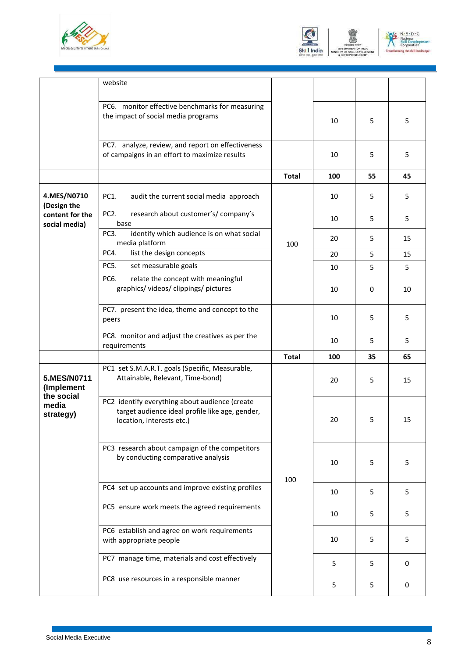





|                                  | website                                                                                                                        |              |     |    |    |
|----------------------------------|--------------------------------------------------------------------------------------------------------------------------------|--------------|-----|----|----|
|                                  | PC6. monitor effective benchmarks for measuring<br>the impact of social media programs                                         |              | 10  | 5  | 5  |
|                                  | PC7. analyze, review, and report on effectiveness<br>of campaigns in an effort to maximize results                             |              | 10  | 5  | 5  |
|                                  |                                                                                                                                | <b>Total</b> | 100 | 55 | 45 |
| 4.MES/N0710<br>(Design the       | PC1.<br>audit the current social media approach                                                                                |              | 10  | 5  | 5  |
| content for the<br>social media) | research about customer's/ company's<br>PC <sub>2</sub> .<br>base                                                              |              | 10  | 5  | 5  |
|                                  | identify which audience is on what social<br>PC3.<br>media platform                                                            | 100          | 20  | 5  | 15 |
|                                  | list the design concepts<br>PC4.                                                                                               |              | 20  | 5  | 15 |
|                                  | PC5.<br>set measurable goals                                                                                                   |              | 10  | 5  | 5  |
|                                  | PC6.<br>relate the concept with meaningful<br>graphics/videos/clippings/pictures                                               |              | 10  | 0  | 10 |
|                                  | PC7. present the idea, theme and concept to the<br>peers                                                                       |              | 10  | 5  | 5  |
|                                  | PC8. monitor and adjust the creatives as per the<br>requirements                                                               |              | 10  | 5  | 5  |
|                                  |                                                                                                                                | <b>Total</b> | 100 | 35 | 65 |
| 5.MES/N0711<br>(Implement        | PC1 set S.M.A.R.T. goals (Specific, Measurable,<br>Attainable, Relevant, Time-bond)                                            |              | 20  | 5  | 15 |
| the social<br>media<br>strategy) | PC2 identify everything about audience (create<br>target audience ideal profile like age, gender,<br>location, interests etc.) |              | 20  | 5  | 15 |
|                                  | PC3 research about campaign of the competitors<br>by conducting comparative analysis                                           | 100          | 10  | 5  | 5  |
|                                  | PC4 set up accounts and improve existing profiles                                                                              |              | 10  | 5  | 5  |
|                                  | PC5 ensure work meets the agreed requirements                                                                                  |              | 10  | 5  | 5  |
|                                  | PC6 establish and agree on work requirements<br>with appropriate people                                                        |              | 10  | 5  | 5  |
|                                  | PC7 manage time, materials and cost effectively                                                                                |              | 5   | 5  | 0  |
|                                  | PC8 use resources in a responsible manner                                                                                      |              | 5   | 5  | 0  |